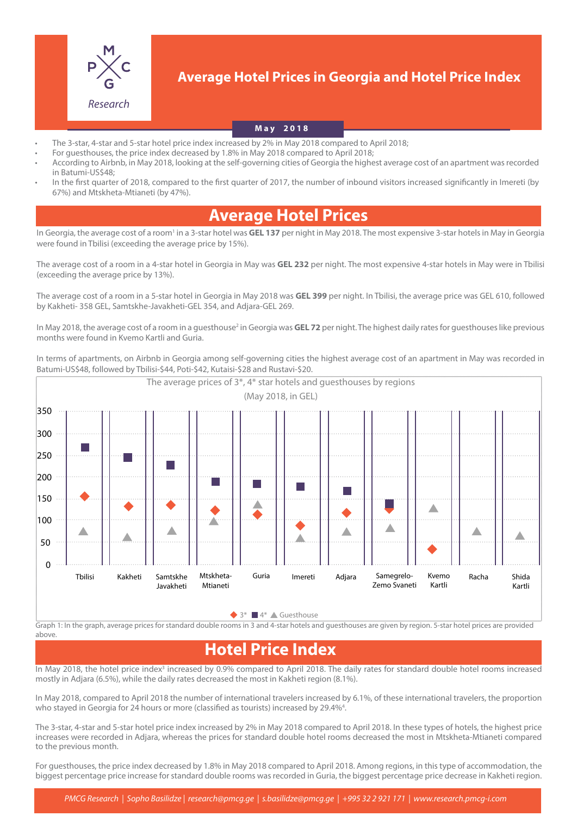

### **Average Hotel Prices in Georgia and Hotel Price Index**

#### **May 2018**

- The 3-star, 4-star and 5-star hotel price index increased by 2% in May 2018 compared to April 2018;
- For guesthouses, the price index decreased by 1.8% in May 2018 compared to April 2018;
- According to Airbnb, in May 2018, looking at the self-governing cities of Georgia the highest average cost of an apartment was recorded in Batumi-US\$48;
- In the first quarter of 2018, compared to the first quarter of 2017, the number of inbound visitors increased significantly in Imereti (by 67%) and Mtskheta-Mtianeti (by 47%).

## **Average Hotel Prices**

In Georgia, the average cost of a room<sup>1</sup> in a 3-star hotel was GEL 137 per night in May 2018. The most expensive 3-star hotels in May in Georgia were found in Tbilisi (exceeding the average price by 15%).

The average cost of a room in a 4-star hotel in Georgia in May was **GEL 232** per night. The most expensive 4-star hotels in May were in Tbilisi (exceeding the average price by 13%).

The average cost of a room in a 5-star hotel in Georgia in May 2018 was **GEL 399** per night. In Tbilisi, the average price was GEL 610, followed by Kakheti- 358 GEL, Samtskhe-Javakheti-GEL 354, and Adjara-GEL 269.

In May 2018, the average cost of a room in a guesthouse<sup>2</sup> in Georgia was **GEL 72** per night. The highest daily rates for guesthouses like previous months were found in Kvemo Kartli and Guria.

In terms of apartments, on Airbnb in Georgia among self-governing cities the highest average cost of an apartment in May was recorded in Batumi-US\$48, followed by Tbilisi-\$44, Poti-\$42, Kutaisi-\$28 and Rustavi-\$20.



 $3^*$   $4^*$   $\triangle$  Guesthouse

Graph 1: In the graph, average prices for standard double rooms in 3 and 4-star hotels and guesthouses are given by region. 5-star hotel prices are provided above.

# **Hotel Price Index**

In May 2018, the hotel price index<sup>3</sup> increased by 0.9% compared to April 2018. The daily rates for standard double hotel rooms increased mostly in Adjara (6.5%), while the daily rates decreased the most in Kakheti region (8.1%).

In May 2018, compared to April 2018 the number of international travelers increased by 6.1%, of these international travelers, the proportion who stayed in Georgia for 24 hours or more (classified as tourists) increased by 29.4%<sup>4</sup>.

The 3-star, 4-star and 5-star hotel price index increased by 2% in May 2018 compared to April 2018. In these types of hotels, the highest price increases were recorded in Adjara, whereas the prices for standard double hotel rooms decreased the most in Mtskheta-Mtianeti compared to the previous month.

For guesthouses, the price index decreased by 1.8% in May 2018 compared to April 2018. Among regions, in this type of accommodation, the biggest percentage price increase for standard double rooms was recorded in Guria, the biggest percentage price decrease in Kakheti region.